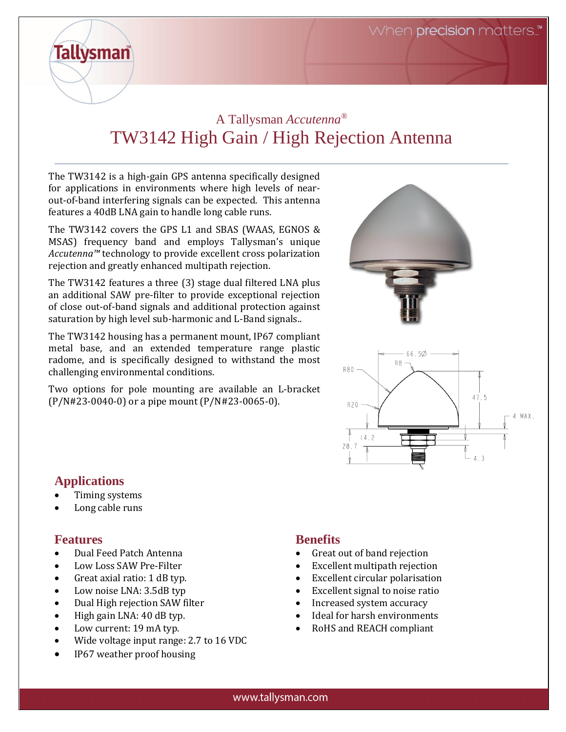# A Tallysman *Accutenna®* TW3142 High Gain / High Rejection Antenna

The TW3142 is a high-gain GPS antenna specifically designed for applications in environments where high levels of nearout-of-band interfering signals can be expected. This antenna features a 40dB LNA gain to handle long cable runs.

The TW3142 covers the GPS L1 and SBAS (WAAS, EGNOS & MSAS) frequency band and employs Tallysman's unique *Accutenna™* technology to provide excellent cross polarization rejection and greatly enhanced multipath rejection.

The TW3142 features a three (3) stage dual filtered LNA plus an additional SAW pre-filter to provide exceptional rejection of close out-of-band signals and additional protection against saturation by high level sub-harmonic and L-Band signals..

The TW3142 housing has a permanent mount, IP67 compliant metal base, and an extended temperature range plastic radome, and is specifically designed to withstand the most challenging environmental conditions.

Two options for pole mounting are available an L-bracket (P/N#23-0040-0) or a pipe mount (P/N#23-0065-0).



## **Applications**

**Tallysman** 

- Timing systems
- Long cable runs

#### **Features**

- Dual Feed Patch Antenna
- Low Loss SAW Pre-Filter
- Great axial ratio: 1 dB typ.
- Low noise LNA: 3.5dB typ
- Dual High rejection SAW filter
- High gain LNA: 40 dB typ.
- Low current: 19 mA typ.
- Wide voltage input range: 2.7 to 16 VDC
- IP67 weather proof housing

## **Benefits**

- Great out of band rejection
- Excellent multipath rejection
- Excellent circular polarisation
- Excellent signal to noise ratio
- Increased system accuracy
- Ideal for harsh environments
- RoHS and REACH compliant